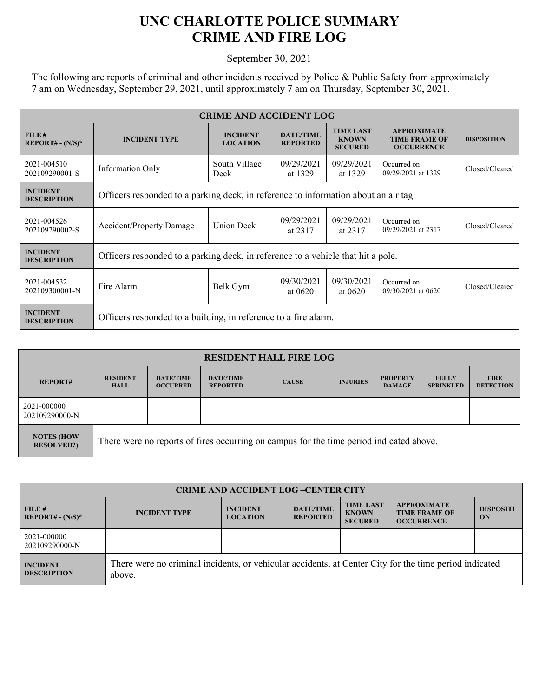## **UNC CHARLOTTE POLICE SUMMARY CRIME AND FIRE LOG**

September 30, 2021

The following are reports of criminal and other incidents received by Police & Public Safety from approximately 7 am on Wednesday, September 29, 2021, until approximately 7 am on Thursday, September 30, 2021.

| <b>CRIME AND ACCIDENT LOG</b>         |                                                                                     |                                    |                                     |                                                    |                                                                 |                    |  |
|---------------------------------------|-------------------------------------------------------------------------------------|------------------------------------|-------------------------------------|----------------------------------------------------|-----------------------------------------------------------------|--------------------|--|
| FILE#<br>$REPORT# - (N/S)*$           | <b>INCIDENT TYPE</b>                                                                | <b>INCIDENT</b><br><b>LOCATION</b> | <b>DATE/TIME</b><br><b>REPORTED</b> | <b>TIME LAST</b><br><b>KNOWN</b><br><b>SECURED</b> | <b>APPROXIMATE</b><br><b>TIME FRAME OF</b><br><b>OCCURRENCE</b> | <b>DISPOSITION</b> |  |
| 2021-004510<br>202109290001-S         | <b>Information Only</b>                                                             | South Village<br>Deck              | 09/29/2021<br>at 1329               | 09/29/2021<br>at 1329                              | Occurred on<br>09/29/2021 at 1329                               | Closed/Cleared     |  |
| <b>INCIDENT</b><br><b>DESCRIPTION</b> | Officers responded to a parking deck, in reference to information about an air tag. |                                    |                                     |                                                    |                                                                 |                    |  |
| 2021-004526<br>202109290002-S         | Accident/Property Damage                                                            | Union Deck                         | 09/29/2021<br>at 2317               | 09/29/2021<br>at 2317                              | Occurred on<br>09/29/2021 at 2317                               | Closed/Cleared     |  |
| <b>INCIDENT</b><br><b>DESCRIPTION</b> | Officers responded to a parking deck, in reference to a vehicle that hit a pole.    |                                    |                                     |                                                    |                                                                 |                    |  |
| 2021-004532<br>202109300001-N         | Fire Alarm                                                                          | Belk Gym                           | 09/30/2021<br>at 0620               | 09/30/2021<br>at $0620$                            | Occurred on<br>09/30/2021 at 0620                               | Closed/Cleared     |  |
| <b>INCIDENT</b><br><b>DESCRIPTION</b> | Officers responded to a building, in reference to a fire alarm.                     |                                    |                                     |                                                    |                                                                 |                    |  |

| <b>RESIDENT HALL FIRE LOG</b>          |                                                                                         |                                     |                                     |              |                 |                                  |                                  |                                 |
|----------------------------------------|-----------------------------------------------------------------------------------------|-------------------------------------|-------------------------------------|--------------|-----------------|----------------------------------|----------------------------------|---------------------------------|
| <b>REPORT#</b>                         | <b>RESIDENT</b><br><b>HALL</b>                                                          | <b>DATE/TIME</b><br><b>OCCURRED</b> | <b>DATE/TIME</b><br><b>REPORTED</b> | <b>CAUSE</b> | <b>INJURIES</b> | <b>PROPERTY</b><br><b>DAMAGE</b> | <b>FULLY</b><br><b>SPRINKLED</b> | <b>FIRE</b><br><b>DETECTION</b> |
| 2021-000000<br>202109290000-N          |                                                                                         |                                     |                                     |              |                 |                                  |                                  |                                 |
| <b>NOTES (HOW</b><br><b>RESOLVED?)</b> | There were no reports of fires occurring on campus for the time period indicated above. |                                     |                                     |              |                 |                                  |                                  |                                 |

| <b>CRIME AND ACCIDENT LOG-CENTER CITY</b> |                                                                                                                  |                                    |                                     |                                                    |                                                                 |                        |  |
|-------------------------------------------|------------------------------------------------------------------------------------------------------------------|------------------------------------|-------------------------------------|----------------------------------------------------|-----------------------------------------------------------------|------------------------|--|
| FILE#<br>$REPORT# - (N/S)*$               | <b>INCIDENT TYPE</b>                                                                                             | <b>INCIDENT</b><br><b>LOCATION</b> | <b>DATE/TIME</b><br><b>REPORTED</b> | <b>TIME LAST</b><br><b>KNOWN</b><br><b>SECURED</b> | <b>APPROXIMATE</b><br><b>TIME FRAME OF</b><br><b>OCCURRENCE</b> | <b>DISPOSITI</b><br>ON |  |
| 2021-000000<br>202109290000-N             |                                                                                                                  |                                    |                                     |                                                    |                                                                 |                        |  |
| <b>INCIDENT</b><br><b>DESCRIPTION</b>     | There were no criminal incidents, or vehicular accidents, at Center City for the time period indicated<br>above. |                                    |                                     |                                                    |                                                                 |                        |  |